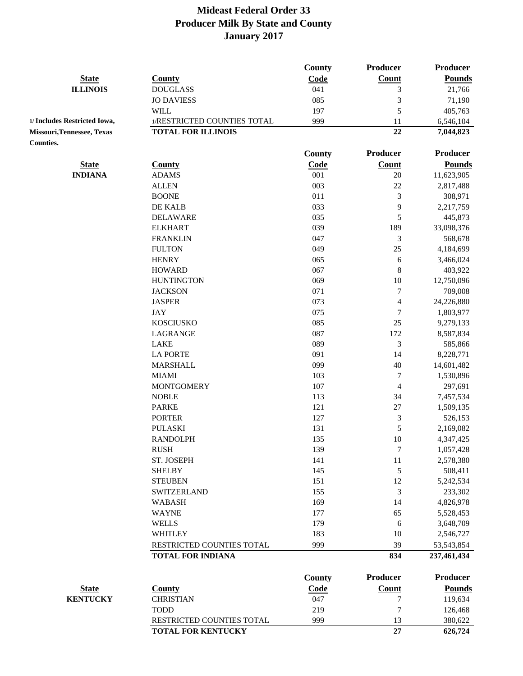|                                         |                             | County | <b>Producer</b>          | <b>Producer</b> |
|-----------------------------------------|-----------------------------|--------|--------------------------|-----------------|
| <b>State</b>                            | <b>County</b>               | Code   | Count                    | <b>Pounds</b>   |
| <b>ILLINOIS</b>                         | <b>DOUGLASS</b>             | 041    | 3                        | 21,766          |
|                                         | <b>JO DAVIESS</b>           | 085    | 3                        | 71,190          |
|                                         | <b>WILL</b>                 | 197    | 5                        | 405,763         |
| 1/ Includes Restricted Iowa,            | 1/RESTRICTED COUNTIES TOTAL | 999    | 11                       | 6,546,104       |
| Missouri, Tennessee, Texas<br>Counties. | <b>TOTAL FOR ILLINOIS</b>   |        | 22                       | 7,044,823       |
|                                         |                             | County | <b>Producer</b>          | <b>Producer</b> |
| <b>State</b>                            | <b>County</b>               | Code   | <b>Count</b>             | <b>Pounds</b>   |
| <b>INDIANA</b>                          | <b>ADAMS</b>                | 001    | 20                       | 11,623,905      |
|                                         | <b>ALLEN</b>                | 003    | 22                       | 2,817,488       |
|                                         | <b>BOONE</b>                | 011    | $\mathfrak{Z}$           | 308,971         |
|                                         | DE KALB                     | 033    | 9                        | 2,217,759       |
|                                         | <b>DELAWARE</b>             | 035    | 5                        | 445,873         |
|                                         | <b>ELKHART</b>              | 039    | 189                      | 33,098,376      |
|                                         | <b>FRANKLIN</b>             | 047    | 3                        | 568,678         |
|                                         | <b>FULTON</b>               | 049    | 25                       | 4,184,699       |
|                                         | <b>HENRY</b>                | 065    | 6                        | 3,466,024       |
|                                         | <b>HOWARD</b>               | 067    | 8                        | 403,922         |
|                                         | <b>HUNTINGTON</b>           | 069    | 10                       | 12,750,096      |
|                                         | <b>JACKSON</b>              | 071    | 7                        | 709,008         |
|                                         | <b>JASPER</b>               | 073    | $\overline{\mathcal{L}}$ | 24,226,880      |
|                                         | <b>JAY</b>                  | 075    | 7                        | 1,803,977       |
|                                         | <b>KOSCIUSKO</b>            | 085    | 25                       | 9,279,133       |
|                                         | LAGRANGE                    | 087    | 172                      | 8,587,834       |
|                                         | <b>LAKE</b>                 | 089    | 3                        | 585,866         |
|                                         | <b>LA PORTE</b>             | 091    | 14                       | 8,228,771       |
|                                         | <b>MARSHALL</b>             | 099    | 40                       | 14,601,482      |
|                                         | <b>MIAMI</b>                | 103    | 7                        | 1,530,896       |
|                                         | <b>MONTGOMERY</b>           | 107    | 4                        | 297,691         |
|                                         | <b>NOBLE</b>                | 113    | 34                       | 7,457,534       |
|                                         | <b>PARKE</b>                | 121    | $27\,$                   | 1,509,135       |
|                                         | <b>PORTER</b>               | 127    | 3                        | 526,153         |
|                                         | <b>PULASKI</b>              | 131    | 5                        | 2,169,082       |
|                                         | <b>RANDOLPH</b>             | 135    | 10                       | 4,347,425       |
|                                         | <b>RUSH</b>                 | 139    | 7                        | 1,057,428       |
|                                         | ST. JOSEPH                  | 141    | $11\,$                   | 2,578,380       |
|                                         | <b>SHELBY</b>               | 145    | $\mathfrak s$            | 508,411         |
|                                         | <b>STEUBEN</b>              | 151    | 12                       | 5,242,534       |
|                                         | <b>SWITZERLAND</b>          | 155    | $\mathfrak{Z}$           | 233,302         |
|                                         | <b>WABASH</b>               | 169    | 14                       | 4,826,978       |
|                                         | <b>WAYNE</b>                | 177    | 65                       | 5,528,453       |
|                                         | <b>WELLS</b>                | 179    | 6                        | 3,648,709       |
|                                         | <b>WHITLEY</b>              | 183    | 10                       | 2,546,727       |
|                                         | RESTRICTED COUNTIES TOTAL   | 999    | 39                       | 53, 543, 854    |
|                                         | <b>TOTAL FOR INDIANA</b>    |        | 834                      | 237,461,434     |
|                                         |                             | County | <b>Producer</b>          | <b>Producer</b> |
| <b>State</b>                            | <b>County</b>               | Code   | <b>Count</b>             | <b>Pounds</b>   |
| <b>KENTUCKY</b>                         | <b>CHRISTIAN</b>            | 047    | 7                        | 119,634         |
|                                         | <b>TODD</b>                 | 219    | $\sqrt{ }$               | 126,468         |
|                                         | RESTRICTED COUNTIES TOTAL   | 999    | 13                       | 380,622         |
|                                         | <b>TOTAL FOR KENTUCKY</b>   |        | 27                       | 626,724         |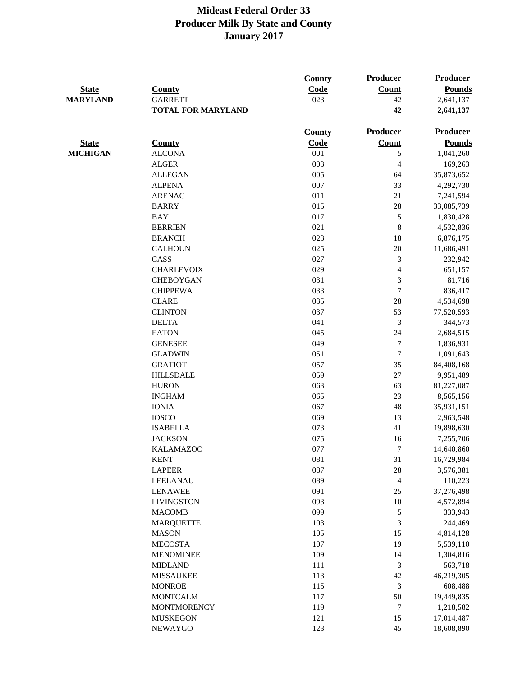| <b>State</b>    | <b>County</b>             | County<br>Code | <b>Producer</b><br>Count | <b>Producer</b><br><b>Pounds</b> |
|-----------------|---------------------------|----------------|--------------------------|----------------------------------|
| <b>MARYLAND</b> | <b>GARRETT</b>            | 023            | 42                       | 2,641,137                        |
|                 | <b>TOTAL FOR MARYLAND</b> |                | 42                       | 2,641,137                        |
|                 |                           | County         | Producer                 | <b>Producer</b>                  |
| <b>State</b>    | <b>County</b>             | Code           | <b>Count</b>             | <b>Pounds</b>                    |
| <b>MICHIGAN</b> | <b>ALCONA</b>             | 001            | 5                        | 1,041,260                        |
|                 | <b>ALGER</b>              | 003            | $\overline{4}$           | 169,263                          |
|                 | <b>ALLEGAN</b>            | 005            | 64                       | 35,873,652                       |
|                 | <b>ALPENA</b>             | 007            | 33                       | 4,292,730                        |
|                 | <b>ARENAC</b>             | 011            | 21                       | 7,241,594                        |
|                 | <b>BARRY</b>              | 015            | 28                       | 33,085,739                       |
|                 | <b>BAY</b>                | 017            | 5                        | 1,830,428                        |
|                 | <b>BERRIEN</b>            | 021            | 8                        | 4,532,836                        |
|                 | <b>BRANCH</b>             | 023            | 18                       | 6,876,175                        |
|                 | <b>CALHOUN</b>            | 025            | 20                       | 11,686,491                       |
|                 | CASS                      | 027            | 3                        | 232,942                          |
|                 | <b>CHARLEVOIX</b>         | 029            | $\overline{4}$           | 651,157                          |
|                 | <b>CHEBOYGAN</b>          | 031            | 3                        | 81,716                           |
|                 | <b>CHIPPEWA</b>           | 033            | $\overline{7}$           | 836,417                          |
|                 | <b>CLARE</b>              | 035            | 28                       | 4,534,698                        |
|                 | <b>CLINTON</b>            | 037            | 53                       | 77,520,593                       |
|                 | <b>DELTA</b>              | 041            | 3                        | 344,573                          |
|                 | <b>EATON</b>              | 045            | 24                       | 2,684,515                        |
|                 | <b>GENESEE</b>            | 049            | $\tau$                   | 1,836,931                        |
|                 | <b>GLADWIN</b>            | 051            | $\tau$                   | 1,091,643                        |
|                 | <b>GRATIOT</b>            | 057            | 35                       | 84,408,168                       |
|                 | <b>HILLSDALE</b>          | 059            | 27                       | 9,951,489                        |
|                 | <b>HURON</b>              | 063            | 63                       | 81,227,087                       |
|                 | <b>INGHAM</b>             | 065            | 23                       | 8,565,156                        |
|                 | <b>IONIA</b>              | 067            | 48                       | 35,931,151                       |
|                 | <b>IOSCO</b>              | 069            | 13                       | 2,963,548                        |
|                 | <b>ISABELLA</b>           | 073            | 41                       | 19,898,630                       |
|                 | <b>JACKSON</b>            | 075            | 16                       | 7,255,706                        |
|                 | <b>KALAMAZOO</b>          | 077            | $\tau$                   | 14,640,860                       |
|                 | <b>KENT</b>               | 081            | 31                       | 16,729,984                       |
|                 | <b>LAPEER</b>             | 087            | 28                       | 3,576,381                        |
|                 | LEELANAU                  | 089            | $\overline{4}$           | 110,223                          |
|                 | <b>LENAWEE</b>            | 091            | 25                       | 37,276,498                       |
|                 | <b>LIVINGSTON</b>         | 093            | 10                       | 4,572,894                        |
|                 | <b>MACOMB</b>             | 099            | 5                        | 333,943                          |
|                 | <b>MARQUETTE</b>          | 103            | 3                        | 244,469                          |
|                 | <b>MASON</b>              | 105            | 15                       | 4,814,128                        |
|                 | <b>MECOSTA</b>            | 107            | 19                       | 5,539,110                        |
|                 | <b>MENOMINEE</b>          | 109            | 14                       | 1,304,816                        |
|                 | <b>MIDLAND</b>            | 111            | 3                        | 563,718                          |
|                 | <b>MISSAUKEE</b>          | 113            | 42                       | 46,219,305                       |
|                 | <b>MONROE</b>             | 115            | $\mathfrak{Z}$           | 608,488                          |
|                 | <b>MONTCALM</b>           | 117            | 50                       | 19,449,835                       |
|                 | <b>MONTMORENCY</b>        | 119            | 7                        | 1,218,582                        |
|                 | <b>MUSKEGON</b>           | 121            | 15                       | 17,014,487                       |
|                 | <b>NEWAYGO</b>            | 123            | 45                       | 18,608,890                       |
|                 |                           |                |                          |                                  |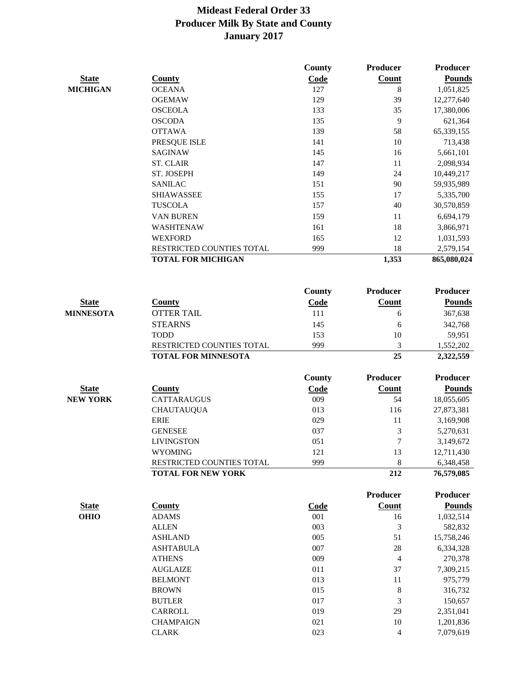|                  |                            | County      | Producer        | <b>Producer</b> |
|------------------|----------------------------|-------------|-----------------|-----------------|
| <b>State</b>     | <b>County</b>              | Code        | Count           | <b>Pounds</b>   |
| <b>MICHIGAN</b>  | <b>OCEANA</b>              | 127         | 8               | 1,051,825       |
|                  | <b>OGEMAW</b>              | 129         | 39              | 12,277,640      |
|                  | <b>OSCEOLA</b>             | 133         | 35              | 17,380,006      |
|                  | <b>OSCODA</b>              | 135         | 9               | 621,364         |
|                  | <b>OTTAWA</b>              | 139         | 58              | 65,339,155      |
|                  | PRESQUE ISLE               | 141         | 10              | 713,438         |
|                  | <b>SAGINAW</b>             | 145         | 16              | 5,661,101       |
|                  | <b>ST. CLAIR</b>           | 147         | 11              | 2,098,934       |
|                  | ST. JOSEPH                 | 149         | 24              | 10,449,217      |
|                  | <b>SANILAC</b>             | 151         | 90              | 59,935,989      |
|                  | <b>SHIAWASSEE</b>          | 155         | 17              | 5,335,700       |
|                  | <b>TUSCOLA</b>             | 157         | 40              | 30,570,859      |
|                  | VAN BUREN                  | 159         | 11              | 6,694,179       |
|                  | <b>WASHTENAW</b>           | 161         | 18              | 3,866,971       |
|                  | <b>WEXFORD</b>             | 165         | 12              | 1,031,593       |
|                  | RESTRICTED COUNTIES TOTAL  | 999         | 18              | 2,579,154       |
|                  | <b>TOTAL FOR MICHIGAN</b>  |             | 1,353           | 865,080,024     |
|                  |                            |             |                 |                 |
|                  |                            | County      | <b>Producer</b> | <b>Producer</b> |
| <b>State</b>     | <b>County</b>              | Code        | <b>Count</b>    | <b>Pounds</b>   |
| <b>MINNESOTA</b> | <b>OTTER TAIL</b>          | 111         | 6               | 367,638         |
|                  | <b>STEARNS</b>             | 145         | 6               | 342,768         |
|                  | <b>TODD</b>                | 153         | 10              | 59,951          |
|                  | RESTRICTED COUNTIES TOTAL  | 999         | 3               | 1,552,202       |
|                  | <b>TOTAL FOR MINNESOTA</b> |             | 25              | 2,322,559       |
|                  |                            | County      | Producer        | <b>Producer</b> |
| <b>State</b>     | <b>County</b>              | Code        | <b>Count</b>    | <b>Pounds</b>   |
| <b>NEW YORK</b>  | <b>CATTARAUGUS</b>         | 009         | 54              | 18,055,605      |
|                  | <b>CHAUTAUQUA</b>          | 013         | 116             | 27,873,381      |
|                  | <b>ERIE</b>                | 029         | 11              | 3,169,908       |
|                  | <b>GENESEE</b>             | 037         | 3               | 5,270,631       |
|                  | <b>LIVINGSTON</b>          | 051         | 7               | 3,149,672       |
|                  | <b>WYOMING</b>             | 121         | 13              | 12,711,430      |
|                  | RESTRICTED COUNTIES TOTAL  | 999         | $\,8\,$         | 6,348,458       |
|                  | <b>TOTAL FOR NEW YORK</b>  |             | 212             | 76,579,085      |
|                  |                            |             | Producer        | Producer        |
| <b>State</b>     | <b>County</b>              | <b>Code</b> | Count           | <b>Pounds</b>   |
| <b>OHIO</b>      | <b>ADAMS</b>               | 001         | 16              | 1,032,514       |
|                  | <b>ALLEN</b>               | 003         | 3               | 582,832         |
|                  | <b>ASHLAND</b>             | 005         | 51              | 15,758,246      |
|                  | <b>ASHTABULA</b>           | 007         | $28\,$          | 6,334,328       |
|                  | <b>ATHENS</b>              | 009         | $\overline{4}$  | 270,378         |
|                  | <b>AUGLAIZE</b>            | 011         | 37              | 7,309,215       |
|                  | <b>BELMONT</b>             | 013         | 11              | 975,779         |
|                  | <b>BROWN</b>               | 015         | 8               | 316,732         |
|                  | <b>BUTLER</b>              | 017         | 3               | 150,657         |
|                  | CARROLL                    | 019         | 29              | 2,351,041       |
|                  | <b>CHAMPAIGN</b>           | 021         | 10              | 1,201,836       |
|                  | <b>CLARK</b>               | 023         | 4               | 7,079,619       |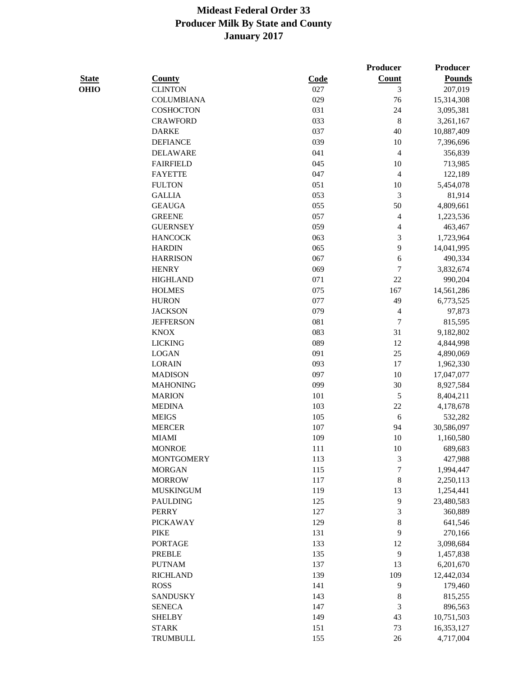|              |                   |      | <b>Producer</b>          | <b>Producer</b> |
|--------------|-------------------|------|--------------------------|-----------------|
| <b>State</b> | <b>County</b>     | Code | Count                    | <b>Pounds</b>   |
| <b>OHIO</b>  | <b>CLINTON</b>    | 027  | 3                        | 207,019         |
|              | <b>COLUMBIANA</b> | 029  | 76                       | 15,314,308      |
|              | <b>COSHOCTON</b>  | 031  | 24                       | 3,095,381       |
|              | <b>CRAWFORD</b>   | 033  | $\,8\,$                  | 3,261,167       |
|              | <b>DARKE</b>      | 037  | 40                       | 10,887,409      |
|              | <b>DEFIANCE</b>   | 039  | 10                       | 7,396,696       |
|              | <b>DELAWARE</b>   | 041  | $\overline{4}$           | 356,839         |
|              | <b>FAIRFIELD</b>  | 045  | 10                       | 713,985         |
|              | <b>FAYETTE</b>    | 047  | $\overline{4}$           | 122,189         |
|              | <b>FULTON</b>     | 051  | 10                       | 5,454,078       |
|              | <b>GALLIA</b>     | 053  | 3                        | 81,914          |
|              | <b>GEAUGA</b>     | 055  | 50                       | 4,809,661       |
|              | <b>GREENE</b>     | 057  | 4                        | 1,223,536       |
|              | <b>GUERNSEY</b>   | 059  | 4                        | 463,467         |
|              | <b>HANCOCK</b>    | 063  | 3                        | 1,723,964       |
|              | <b>HARDIN</b>     | 065  | 9                        | 14,041,995      |
|              | <b>HARRISON</b>   | 067  | 6                        | 490,334         |
|              | <b>HENRY</b>      | 069  | 7                        | 3,832,674       |
|              | <b>HIGHLAND</b>   | 071  | 22                       | 990,204         |
|              | <b>HOLMES</b>     | 075  | 167                      | 14,561,286      |
|              | <b>HURON</b>      | 077  | 49                       | 6,773,525       |
|              | <b>JACKSON</b>    | 079  | $\overline{\mathcal{L}}$ | 97,873          |
|              | <b>JEFFERSON</b>  | 081  | $\tau$                   | 815,595         |
|              | <b>KNOX</b>       | 083  | 31                       | 9,182,802       |
|              | <b>LICKING</b>    | 089  | 12                       | 4,844,998       |
|              | <b>LOGAN</b>      | 091  | 25                       | 4,890,069       |
|              | <b>LORAIN</b>     | 093  | 17                       | 1,962,330       |
|              | <b>MADISON</b>    | 097  | 10                       | 17,047,077      |
|              | <b>MAHONING</b>   | 099  | 30                       | 8,927,584       |
|              | <b>MARION</b>     | 101  | 5                        | 8,404,211       |
|              | <b>MEDINA</b>     | 103  | 22                       | 4,178,678       |
|              | <b>MEIGS</b>      | 105  | 6                        | 532,282         |
|              | <b>MERCER</b>     | 107  | 94                       | 30,586,097      |
|              | <b>MIAMI</b>      | 109  | 10                       | 1,160,580       |
|              | <b>MONROE</b>     | 111  | 10                       | 689,683         |
|              | <b>MONTGOMERY</b> | 113  | 3                        | 427,988         |
|              | <b>MORGAN</b>     | 115  | $\boldsymbol{7}$         | 1,994,447       |
|              | <b>MORROW</b>     | 117  | $\,$ $\,$                | 2,250,113       |
|              | <b>MUSKINGUM</b>  | 119  | 13                       | 1,254,441       |
|              | <b>PAULDING</b>   | 125  | 9                        | 23,480,583      |
|              | <b>PERRY</b>      | 127  | $\mathfrak{Z}$           | 360,889         |
|              | <b>PICKAWAY</b>   | 129  | $\,$ $\,$                | 641,546         |
|              | <b>PIKE</b>       | 131  | 9                        | 270,166         |
|              | <b>PORTAGE</b>    | 133  | 12                       | 3,098,684       |
|              | <b>PREBLE</b>     | 135  | 9                        | 1,457,838       |
|              | <b>PUTNAM</b>     | 137  | 13                       | 6,201,670       |
|              | <b>RICHLAND</b>   | 139  | 109                      | 12,442,034      |
|              | <b>ROSS</b>       | 141  | 9                        | 179,460         |
|              | <b>SANDUSKY</b>   | 143  | 8                        | 815,255         |
|              | <b>SENECA</b>     | 147  | 3                        | 896,563         |
|              | <b>SHELBY</b>     | 149  | 43                       | 10,751,503      |
|              | <b>STARK</b>      | 151  | 73                       | 16,353,127      |
|              | <b>TRUMBULL</b>   | 155  | 26                       | 4,717,004       |
|              |                   |      |                          |                 |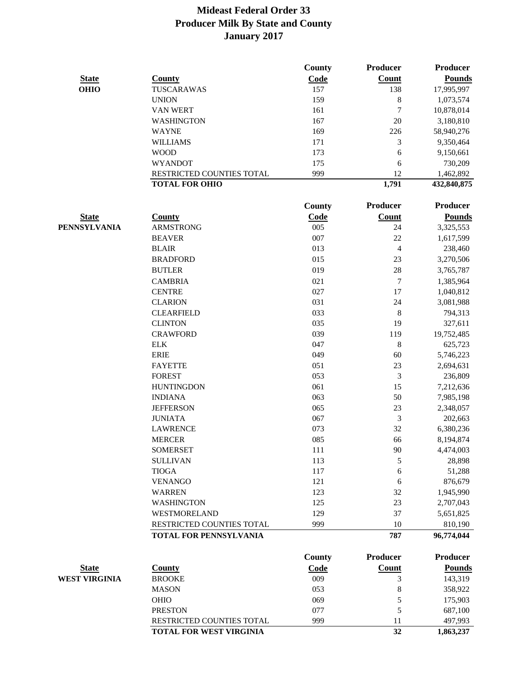| <b>State</b><br>Count<br><b>Pounds</b><br><b>County</b><br>Code<br><b>OHIO</b><br>TUSCARAWAS<br>157<br>138<br>17,995,997<br>8<br><b>UNION</b><br>159<br>1,073,574<br>$\tau$<br><b>VAN WERT</b><br>161<br>10,878,014<br>20<br>WASHINGTON<br>167<br>3,180,810<br><b>WAYNE</b><br>169<br>226<br>58,940,276<br>3<br><b>WILLIAMS</b><br>171<br>9,350,464<br>6<br><b>WOOD</b><br>173<br>9,150,661<br><b>WYANDOT</b><br>175<br>6<br>730,209<br>12<br>RESTRICTED COUNTIES TOTAL<br>999<br>1,462,892<br><b>TOTAL FOR OHIO</b><br>1,791<br>432,840,875<br><b>Producer</b><br><b>County</b><br>Producer<br>Count<br><b>State</b><br><b>County</b><br>Code<br><b>Pounds</b><br><b>PENNSYLVANIA</b><br><b>ARMSTRONG</b><br>005<br>3,325,553<br>24<br>007<br>22<br><b>BEAVER</b><br>1,617,599<br><b>BLAIR</b><br>013<br>$\overline{\mathcal{L}}$<br>238,460<br>23<br><b>BRADFORD</b><br>015<br>3,270,506<br><b>BUTLER</b><br>28<br>019<br>3,765,787<br>$\tau$<br><b>CAMBRIA</b><br>021<br>1,385,964<br><b>CENTRE</b><br>17<br>027<br>1,040,812<br>24<br><b>CLARION</b><br>031<br>3,081,988<br>$8\phantom{1}$<br><b>CLEARFIELD</b><br>033<br>794,313<br><b>CLINTON</b><br>035<br>19<br>327,611<br><b>CRAWFORD</b><br>039<br>119<br>19,752,485<br>8<br><b>ELK</b><br>047<br>625,723<br><b>ERIE</b><br>049<br>60<br>5,746,223<br>23<br><b>FAYETTE</b><br>051<br>2,694,631<br>$\mathfrak{Z}$<br><b>FOREST</b><br>053<br>236,809<br>061<br>15<br><b>HUNTINGDON</b><br>7,212,636<br>50<br><b>INDIANA</b><br>063<br>7,985,198<br>23<br><b>JEFFERSON</b><br>065<br>2,348,057<br>$\mathfrak{Z}$<br><b>JUNIATA</b><br>067<br>202,663<br>32<br><b>LAWRENCE</b><br>073<br>6,380,236<br><b>MERCER</b><br>085<br>66<br>8,194,874<br><b>SOMERSET</b><br>111<br>90<br>4,474,003<br><b>SULLIVAN</b><br>113<br>5<br>28,898<br><b>TIOGA</b><br>117<br>51,288<br>6<br><b>VENANGO</b><br>121<br>876,679<br>6<br><b>WARREN</b><br>123<br>32<br>1,945,990<br><b>WASHINGTON</b><br>125<br>23<br>2,707,043<br>WESTMORELAND<br>129<br>37<br>5,651,825<br>RESTRICTED COUNTIES TOTAL<br>999<br>10<br>810,190<br><b>TOTAL FOR PENNSYLVANIA</b><br>787<br>96,774,044<br><b>Producer</b><br><b>Producer</b><br><b>County</b><br>Count<br><b>Pounds</b><br><b>State</b><br>Code<br><b>County</b><br><b>WEST VIRGINIA</b><br>009<br>143,319<br><b>BROOKE</b><br>3<br><b>MASON</b><br>053<br>8<br>358,922<br>OHIO<br>069<br>5<br>175,903<br>5<br><b>PRESTON</b><br>077<br>687,100<br>RESTRICTED COUNTIES TOTAL<br>999<br>11<br>497,993<br><b>TOTAL FOR WEST VIRGINIA</b><br>32<br>1,863,237 |  | County | Producer | Producer |
|---------------------------------------------------------------------------------------------------------------------------------------------------------------------------------------------------------------------------------------------------------------------------------------------------------------------------------------------------------------------------------------------------------------------------------------------------------------------------------------------------------------------------------------------------------------------------------------------------------------------------------------------------------------------------------------------------------------------------------------------------------------------------------------------------------------------------------------------------------------------------------------------------------------------------------------------------------------------------------------------------------------------------------------------------------------------------------------------------------------------------------------------------------------------------------------------------------------------------------------------------------------------------------------------------------------------------------------------------------------------------------------------------------------------------------------------------------------------------------------------------------------------------------------------------------------------------------------------------------------------------------------------------------------------------------------------------------------------------------------------------------------------------------------------------------------------------------------------------------------------------------------------------------------------------------------------------------------------------------------------------------------------------------------------------------------------------------------------------------------------------------------------------------------------------------------------------------------------------------------------------------------------------------------------------------------------------------------------------------------------------------------------------------------------------------------------------------------------------------------------------------------------------------------------|--|--------|----------|----------|
|                                                                                                                                                                                                                                                                                                                                                                                                                                                                                                                                                                                                                                                                                                                                                                                                                                                                                                                                                                                                                                                                                                                                                                                                                                                                                                                                                                                                                                                                                                                                                                                                                                                                                                                                                                                                                                                                                                                                                                                                                                                                                                                                                                                                                                                                                                                                                                                                                                                                                                                                             |  |        |          |          |
|                                                                                                                                                                                                                                                                                                                                                                                                                                                                                                                                                                                                                                                                                                                                                                                                                                                                                                                                                                                                                                                                                                                                                                                                                                                                                                                                                                                                                                                                                                                                                                                                                                                                                                                                                                                                                                                                                                                                                                                                                                                                                                                                                                                                                                                                                                                                                                                                                                                                                                                                             |  |        |          |          |
|                                                                                                                                                                                                                                                                                                                                                                                                                                                                                                                                                                                                                                                                                                                                                                                                                                                                                                                                                                                                                                                                                                                                                                                                                                                                                                                                                                                                                                                                                                                                                                                                                                                                                                                                                                                                                                                                                                                                                                                                                                                                                                                                                                                                                                                                                                                                                                                                                                                                                                                                             |  |        |          |          |
|                                                                                                                                                                                                                                                                                                                                                                                                                                                                                                                                                                                                                                                                                                                                                                                                                                                                                                                                                                                                                                                                                                                                                                                                                                                                                                                                                                                                                                                                                                                                                                                                                                                                                                                                                                                                                                                                                                                                                                                                                                                                                                                                                                                                                                                                                                                                                                                                                                                                                                                                             |  |        |          |          |
|                                                                                                                                                                                                                                                                                                                                                                                                                                                                                                                                                                                                                                                                                                                                                                                                                                                                                                                                                                                                                                                                                                                                                                                                                                                                                                                                                                                                                                                                                                                                                                                                                                                                                                                                                                                                                                                                                                                                                                                                                                                                                                                                                                                                                                                                                                                                                                                                                                                                                                                                             |  |        |          |          |
|                                                                                                                                                                                                                                                                                                                                                                                                                                                                                                                                                                                                                                                                                                                                                                                                                                                                                                                                                                                                                                                                                                                                                                                                                                                                                                                                                                                                                                                                                                                                                                                                                                                                                                                                                                                                                                                                                                                                                                                                                                                                                                                                                                                                                                                                                                                                                                                                                                                                                                                                             |  |        |          |          |
|                                                                                                                                                                                                                                                                                                                                                                                                                                                                                                                                                                                                                                                                                                                                                                                                                                                                                                                                                                                                                                                                                                                                                                                                                                                                                                                                                                                                                                                                                                                                                                                                                                                                                                                                                                                                                                                                                                                                                                                                                                                                                                                                                                                                                                                                                                                                                                                                                                                                                                                                             |  |        |          |          |
|                                                                                                                                                                                                                                                                                                                                                                                                                                                                                                                                                                                                                                                                                                                                                                                                                                                                                                                                                                                                                                                                                                                                                                                                                                                                                                                                                                                                                                                                                                                                                                                                                                                                                                                                                                                                                                                                                                                                                                                                                                                                                                                                                                                                                                                                                                                                                                                                                                                                                                                                             |  |        |          |          |
|                                                                                                                                                                                                                                                                                                                                                                                                                                                                                                                                                                                                                                                                                                                                                                                                                                                                                                                                                                                                                                                                                                                                                                                                                                                                                                                                                                                                                                                                                                                                                                                                                                                                                                                                                                                                                                                                                                                                                                                                                                                                                                                                                                                                                                                                                                                                                                                                                                                                                                                                             |  |        |          |          |
|                                                                                                                                                                                                                                                                                                                                                                                                                                                                                                                                                                                                                                                                                                                                                                                                                                                                                                                                                                                                                                                                                                                                                                                                                                                                                                                                                                                                                                                                                                                                                                                                                                                                                                                                                                                                                                                                                                                                                                                                                                                                                                                                                                                                                                                                                                                                                                                                                                                                                                                                             |  |        |          |          |
|                                                                                                                                                                                                                                                                                                                                                                                                                                                                                                                                                                                                                                                                                                                                                                                                                                                                                                                                                                                                                                                                                                                                                                                                                                                                                                                                                                                                                                                                                                                                                                                                                                                                                                                                                                                                                                                                                                                                                                                                                                                                                                                                                                                                                                                                                                                                                                                                                                                                                                                                             |  |        |          |          |
|                                                                                                                                                                                                                                                                                                                                                                                                                                                                                                                                                                                                                                                                                                                                                                                                                                                                                                                                                                                                                                                                                                                                                                                                                                                                                                                                                                                                                                                                                                                                                                                                                                                                                                                                                                                                                                                                                                                                                                                                                                                                                                                                                                                                                                                                                                                                                                                                                                                                                                                                             |  |        |          |          |
|                                                                                                                                                                                                                                                                                                                                                                                                                                                                                                                                                                                                                                                                                                                                                                                                                                                                                                                                                                                                                                                                                                                                                                                                                                                                                                                                                                                                                                                                                                                                                                                                                                                                                                                                                                                                                                                                                                                                                                                                                                                                                                                                                                                                                                                                                                                                                                                                                                                                                                                                             |  |        |          |          |
|                                                                                                                                                                                                                                                                                                                                                                                                                                                                                                                                                                                                                                                                                                                                                                                                                                                                                                                                                                                                                                                                                                                                                                                                                                                                                                                                                                                                                                                                                                                                                                                                                                                                                                                                                                                                                                                                                                                                                                                                                                                                                                                                                                                                                                                                                                                                                                                                                                                                                                                                             |  |        |          |          |
|                                                                                                                                                                                                                                                                                                                                                                                                                                                                                                                                                                                                                                                                                                                                                                                                                                                                                                                                                                                                                                                                                                                                                                                                                                                                                                                                                                                                                                                                                                                                                                                                                                                                                                                                                                                                                                                                                                                                                                                                                                                                                                                                                                                                                                                                                                                                                                                                                                                                                                                                             |  |        |          |          |
|                                                                                                                                                                                                                                                                                                                                                                                                                                                                                                                                                                                                                                                                                                                                                                                                                                                                                                                                                                                                                                                                                                                                                                                                                                                                                                                                                                                                                                                                                                                                                                                                                                                                                                                                                                                                                                                                                                                                                                                                                                                                                                                                                                                                                                                                                                                                                                                                                                                                                                                                             |  |        |          |          |
|                                                                                                                                                                                                                                                                                                                                                                                                                                                                                                                                                                                                                                                                                                                                                                                                                                                                                                                                                                                                                                                                                                                                                                                                                                                                                                                                                                                                                                                                                                                                                                                                                                                                                                                                                                                                                                                                                                                                                                                                                                                                                                                                                                                                                                                                                                                                                                                                                                                                                                                                             |  |        |          |          |
|                                                                                                                                                                                                                                                                                                                                                                                                                                                                                                                                                                                                                                                                                                                                                                                                                                                                                                                                                                                                                                                                                                                                                                                                                                                                                                                                                                                                                                                                                                                                                                                                                                                                                                                                                                                                                                                                                                                                                                                                                                                                                                                                                                                                                                                                                                                                                                                                                                                                                                                                             |  |        |          |          |
|                                                                                                                                                                                                                                                                                                                                                                                                                                                                                                                                                                                                                                                                                                                                                                                                                                                                                                                                                                                                                                                                                                                                                                                                                                                                                                                                                                                                                                                                                                                                                                                                                                                                                                                                                                                                                                                                                                                                                                                                                                                                                                                                                                                                                                                                                                                                                                                                                                                                                                                                             |  |        |          |          |
|                                                                                                                                                                                                                                                                                                                                                                                                                                                                                                                                                                                                                                                                                                                                                                                                                                                                                                                                                                                                                                                                                                                                                                                                                                                                                                                                                                                                                                                                                                                                                                                                                                                                                                                                                                                                                                                                                                                                                                                                                                                                                                                                                                                                                                                                                                                                                                                                                                                                                                                                             |  |        |          |          |
|                                                                                                                                                                                                                                                                                                                                                                                                                                                                                                                                                                                                                                                                                                                                                                                                                                                                                                                                                                                                                                                                                                                                                                                                                                                                                                                                                                                                                                                                                                                                                                                                                                                                                                                                                                                                                                                                                                                                                                                                                                                                                                                                                                                                                                                                                                                                                                                                                                                                                                                                             |  |        |          |          |
|                                                                                                                                                                                                                                                                                                                                                                                                                                                                                                                                                                                                                                                                                                                                                                                                                                                                                                                                                                                                                                                                                                                                                                                                                                                                                                                                                                                                                                                                                                                                                                                                                                                                                                                                                                                                                                                                                                                                                                                                                                                                                                                                                                                                                                                                                                                                                                                                                                                                                                                                             |  |        |          |          |
|                                                                                                                                                                                                                                                                                                                                                                                                                                                                                                                                                                                                                                                                                                                                                                                                                                                                                                                                                                                                                                                                                                                                                                                                                                                                                                                                                                                                                                                                                                                                                                                                                                                                                                                                                                                                                                                                                                                                                                                                                                                                                                                                                                                                                                                                                                                                                                                                                                                                                                                                             |  |        |          |          |
|                                                                                                                                                                                                                                                                                                                                                                                                                                                                                                                                                                                                                                                                                                                                                                                                                                                                                                                                                                                                                                                                                                                                                                                                                                                                                                                                                                                                                                                                                                                                                                                                                                                                                                                                                                                                                                                                                                                                                                                                                                                                                                                                                                                                                                                                                                                                                                                                                                                                                                                                             |  |        |          |          |
|                                                                                                                                                                                                                                                                                                                                                                                                                                                                                                                                                                                                                                                                                                                                                                                                                                                                                                                                                                                                                                                                                                                                                                                                                                                                                                                                                                                                                                                                                                                                                                                                                                                                                                                                                                                                                                                                                                                                                                                                                                                                                                                                                                                                                                                                                                                                                                                                                                                                                                                                             |  |        |          |          |
|                                                                                                                                                                                                                                                                                                                                                                                                                                                                                                                                                                                                                                                                                                                                                                                                                                                                                                                                                                                                                                                                                                                                                                                                                                                                                                                                                                                                                                                                                                                                                                                                                                                                                                                                                                                                                                                                                                                                                                                                                                                                                                                                                                                                                                                                                                                                                                                                                                                                                                                                             |  |        |          |          |
|                                                                                                                                                                                                                                                                                                                                                                                                                                                                                                                                                                                                                                                                                                                                                                                                                                                                                                                                                                                                                                                                                                                                                                                                                                                                                                                                                                                                                                                                                                                                                                                                                                                                                                                                                                                                                                                                                                                                                                                                                                                                                                                                                                                                                                                                                                                                                                                                                                                                                                                                             |  |        |          |          |
|                                                                                                                                                                                                                                                                                                                                                                                                                                                                                                                                                                                                                                                                                                                                                                                                                                                                                                                                                                                                                                                                                                                                                                                                                                                                                                                                                                                                                                                                                                                                                                                                                                                                                                                                                                                                                                                                                                                                                                                                                                                                                                                                                                                                                                                                                                                                                                                                                                                                                                                                             |  |        |          |          |
|                                                                                                                                                                                                                                                                                                                                                                                                                                                                                                                                                                                                                                                                                                                                                                                                                                                                                                                                                                                                                                                                                                                                                                                                                                                                                                                                                                                                                                                                                                                                                                                                                                                                                                                                                                                                                                                                                                                                                                                                                                                                                                                                                                                                                                                                                                                                                                                                                                                                                                                                             |  |        |          |          |
|                                                                                                                                                                                                                                                                                                                                                                                                                                                                                                                                                                                                                                                                                                                                                                                                                                                                                                                                                                                                                                                                                                                                                                                                                                                                                                                                                                                                                                                                                                                                                                                                                                                                                                                                                                                                                                                                                                                                                                                                                                                                                                                                                                                                                                                                                                                                                                                                                                                                                                                                             |  |        |          |          |
|                                                                                                                                                                                                                                                                                                                                                                                                                                                                                                                                                                                                                                                                                                                                                                                                                                                                                                                                                                                                                                                                                                                                                                                                                                                                                                                                                                                                                                                                                                                                                                                                                                                                                                                                                                                                                                                                                                                                                                                                                                                                                                                                                                                                                                                                                                                                                                                                                                                                                                                                             |  |        |          |          |
|                                                                                                                                                                                                                                                                                                                                                                                                                                                                                                                                                                                                                                                                                                                                                                                                                                                                                                                                                                                                                                                                                                                                                                                                                                                                                                                                                                                                                                                                                                                                                                                                                                                                                                                                                                                                                                                                                                                                                                                                                                                                                                                                                                                                                                                                                                                                                                                                                                                                                                                                             |  |        |          |          |
|                                                                                                                                                                                                                                                                                                                                                                                                                                                                                                                                                                                                                                                                                                                                                                                                                                                                                                                                                                                                                                                                                                                                                                                                                                                                                                                                                                                                                                                                                                                                                                                                                                                                                                                                                                                                                                                                                                                                                                                                                                                                                                                                                                                                                                                                                                                                                                                                                                                                                                                                             |  |        |          |          |
|                                                                                                                                                                                                                                                                                                                                                                                                                                                                                                                                                                                                                                                                                                                                                                                                                                                                                                                                                                                                                                                                                                                                                                                                                                                                                                                                                                                                                                                                                                                                                                                                                                                                                                                                                                                                                                                                                                                                                                                                                                                                                                                                                                                                                                                                                                                                                                                                                                                                                                                                             |  |        |          |          |
|                                                                                                                                                                                                                                                                                                                                                                                                                                                                                                                                                                                                                                                                                                                                                                                                                                                                                                                                                                                                                                                                                                                                                                                                                                                                                                                                                                                                                                                                                                                                                                                                                                                                                                                                                                                                                                                                                                                                                                                                                                                                                                                                                                                                                                                                                                                                                                                                                                                                                                                                             |  |        |          |          |
|                                                                                                                                                                                                                                                                                                                                                                                                                                                                                                                                                                                                                                                                                                                                                                                                                                                                                                                                                                                                                                                                                                                                                                                                                                                                                                                                                                                                                                                                                                                                                                                                                                                                                                                                                                                                                                                                                                                                                                                                                                                                                                                                                                                                                                                                                                                                                                                                                                                                                                                                             |  |        |          |          |
|                                                                                                                                                                                                                                                                                                                                                                                                                                                                                                                                                                                                                                                                                                                                                                                                                                                                                                                                                                                                                                                                                                                                                                                                                                                                                                                                                                                                                                                                                                                                                                                                                                                                                                                                                                                                                                                                                                                                                                                                                                                                                                                                                                                                                                                                                                                                                                                                                                                                                                                                             |  |        |          |          |
|                                                                                                                                                                                                                                                                                                                                                                                                                                                                                                                                                                                                                                                                                                                                                                                                                                                                                                                                                                                                                                                                                                                                                                                                                                                                                                                                                                                                                                                                                                                                                                                                                                                                                                                                                                                                                                                                                                                                                                                                                                                                                                                                                                                                                                                                                                                                                                                                                                                                                                                                             |  |        |          |          |
|                                                                                                                                                                                                                                                                                                                                                                                                                                                                                                                                                                                                                                                                                                                                                                                                                                                                                                                                                                                                                                                                                                                                                                                                                                                                                                                                                                                                                                                                                                                                                                                                                                                                                                                                                                                                                                                                                                                                                                                                                                                                                                                                                                                                                                                                                                                                                                                                                                                                                                                                             |  |        |          |          |
|                                                                                                                                                                                                                                                                                                                                                                                                                                                                                                                                                                                                                                                                                                                                                                                                                                                                                                                                                                                                                                                                                                                                                                                                                                                                                                                                                                                                                                                                                                                                                                                                                                                                                                                                                                                                                                                                                                                                                                                                                                                                                                                                                                                                                                                                                                                                                                                                                                                                                                                                             |  |        |          |          |
|                                                                                                                                                                                                                                                                                                                                                                                                                                                                                                                                                                                                                                                                                                                                                                                                                                                                                                                                                                                                                                                                                                                                                                                                                                                                                                                                                                                                                                                                                                                                                                                                                                                                                                                                                                                                                                                                                                                                                                                                                                                                                                                                                                                                                                                                                                                                                                                                                                                                                                                                             |  |        |          |          |
|                                                                                                                                                                                                                                                                                                                                                                                                                                                                                                                                                                                                                                                                                                                                                                                                                                                                                                                                                                                                                                                                                                                                                                                                                                                                                                                                                                                                                                                                                                                                                                                                                                                                                                                                                                                                                                                                                                                                                                                                                                                                                                                                                                                                                                                                                                                                                                                                                                                                                                                                             |  |        |          |          |
|                                                                                                                                                                                                                                                                                                                                                                                                                                                                                                                                                                                                                                                                                                                                                                                                                                                                                                                                                                                                                                                                                                                                                                                                                                                                                                                                                                                                                                                                                                                                                                                                                                                                                                                                                                                                                                                                                                                                                                                                                                                                                                                                                                                                                                                                                                                                                                                                                                                                                                                                             |  |        |          |          |
|                                                                                                                                                                                                                                                                                                                                                                                                                                                                                                                                                                                                                                                                                                                                                                                                                                                                                                                                                                                                                                                                                                                                                                                                                                                                                                                                                                                                                                                                                                                                                                                                                                                                                                                                                                                                                                                                                                                                                                                                                                                                                                                                                                                                                                                                                                                                                                                                                                                                                                                                             |  |        |          |          |
|                                                                                                                                                                                                                                                                                                                                                                                                                                                                                                                                                                                                                                                                                                                                                                                                                                                                                                                                                                                                                                                                                                                                                                                                                                                                                                                                                                                                                                                                                                                                                                                                                                                                                                                                                                                                                                                                                                                                                                                                                                                                                                                                                                                                                                                                                                                                                                                                                                                                                                                                             |  |        |          |          |
|                                                                                                                                                                                                                                                                                                                                                                                                                                                                                                                                                                                                                                                                                                                                                                                                                                                                                                                                                                                                                                                                                                                                                                                                                                                                                                                                                                                                                                                                                                                                                                                                                                                                                                                                                                                                                                                                                                                                                                                                                                                                                                                                                                                                                                                                                                                                                                                                                                                                                                                                             |  |        |          |          |
|                                                                                                                                                                                                                                                                                                                                                                                                                                                                                                                                                                                                                                                                                                                                                                                                                                                                                                                                                                                                                                                                                                                                                                                                                                                                                                                                                                                                                                                                                                                                                                                                                                                                                                                                                                                                                                                                                                                                                                                                                                                                                                                                                                                                                                                                                                                                                                                                                                                                                                                                             |  |        |          |          |
|                                                                                                                                                                                                                                                                                                                                                                                                                                                                                                                                                                                                                                                                                                                                                                                                                                                                                                                                                                                                                                                                                                                                                                                                                                                                                                                                                                                                                                                                                                                                                                                                                                                                                                                                                                                                                                                                                                                                                                                                                                                                                                                                                                                                                                                                                                                                                                                                                                                                                                                                             |  |        |          |          |
|                                                                                                                                                                                                                                                                                                                                                                                                                                                                                                                                                                                                                                                                                                                                                                                                                                                                                                                                                                                                                                                                                                                                                                                                                                                                                                                                                                                                                                                                                                                                                                                                                                                                                                                                                                                                                                                                                                                                                                                                                                                                                                                                                                                                                                                                                                                                                                                                                                                                                                                                             |  |        |          |          |
|                                                                                                                                                                                                                                                                                                                                                                                                                                                                                                                                                                                                                                                                                                                                                                                                                                                                                                                                                                                                                                                                                                                                                                                                                                                                                                                                                                                                                                                                                                                                                                                                                                                                                                                                                                                                                                                                                                                                                                                                                                                                                                                                                                                                                                                                                                                                                                                                                                                                                                                                             |  |        |          |          |
|                                                                                                                                                                                                                                                                                                                                                                                                                                                                                                                                                                                                                                                                                                                                                                                                                                                                                                                                                                                                                                                                                                                                                                                                                                                                                                                                                                                                                                                                                                                                                                                                                                                                                                                                                                                                                                                                                                                                                                                                                                                                                                                                                                                                                                                                                                                                                                                                                                                                                                                                             |  |        |          |          |